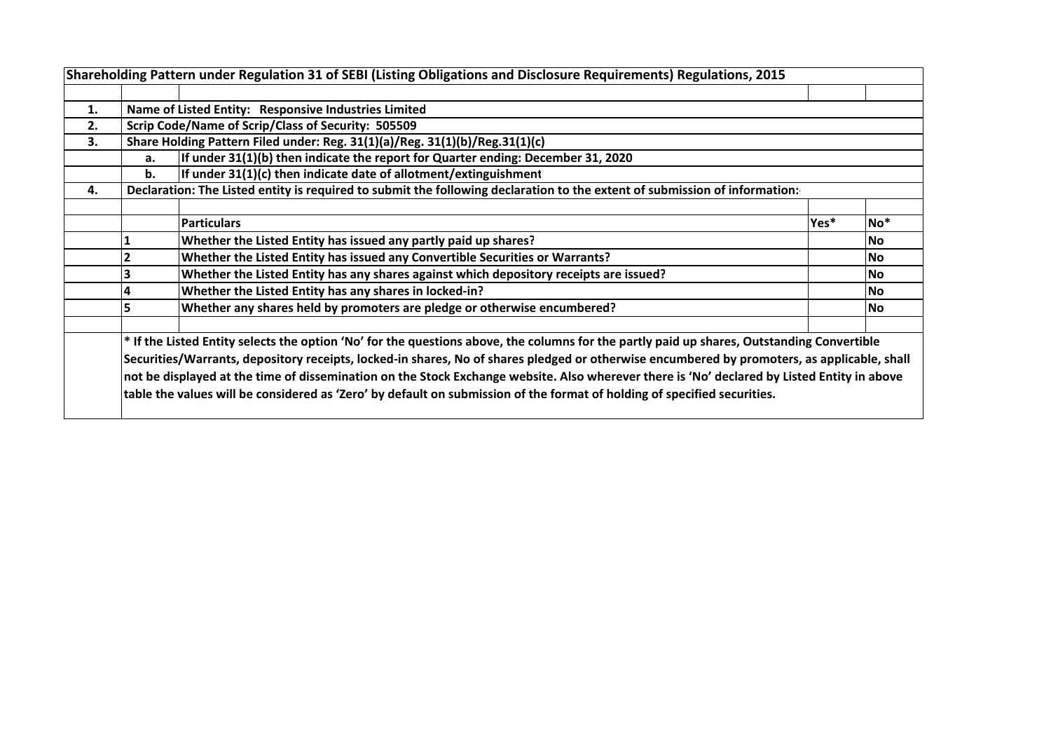| 1. |    | Name of Listed Entity: Responsive Industries Limited                                                                                        |      |                 |
|----|----|---------------------------------------------------------------------------------------------------------------------------------------------|------|-----------------|
| 2. |    | Scrip Code/Name of Scrip/Class of Security: 505509                                                                                          |      |                 |
| 3. |    | Share Holding Pattern Filed under: Reg. 31(1)(a)/Reg. 31(1)(b)/Reg.31(1)(c)                                                                 |      |                 |
|    | a. | If under 31(1)(b) then indicate the report for Quarter ending: December 31, 2020                                                            |      |                 |
|    | b. | If under 31(1)(c) then indicate date of allotment/extinguishment                                                                            |      |                 |
| 4. |    | Declaration: The Listed entity is required to submit the following declaration to the extent of submission of information:                  |      |                 |
|    |    |                                                                                                                                             |      |                 |
|    |    | <b>Particulars</b>                                                                                                                          | Yes* | No <sup>*</sup> |
|    |    | Whether the Listed Entity has issued any partly paid up shares?                                                                             |      | lNo.            |
|    |    | Whether the Listed Entity has issued any Convertible Securities or Warrants?                                                                |      | <b>No</b>       |
|    |    | Whether the Listed Entity has any shares against which depository receipts are issued?                                                      |      | lNo.            |
|    |    | Whether the Listed Entity has any shares in locked-in?                                                                                      |      | lNo.            |
|    | 5  | Whether any shares held by promoters are pledge or otherwise encumbered?                                                                    |      | lNo.            |
|    |    | * If the Listed Entity selects the option 'No' for the questions above, the columns for the partly paid up shares, Outstanding Convertible  |      |                 |
|    |    | Securities/Warrants, depository receipts, locked-in shares, No of shares pledged or otherwise encumbered by promoters, as applicable, shall |      |                 |
|    |    | not be displayed at the time of dissemination on the Stock Exchange website. Also wherever there is 'No' declared by Listed Entity in above |      |                 |
|    |    | table the values will be considered as 'Zero' by default on submission of the format of holding of specified securities.                    |      |                 |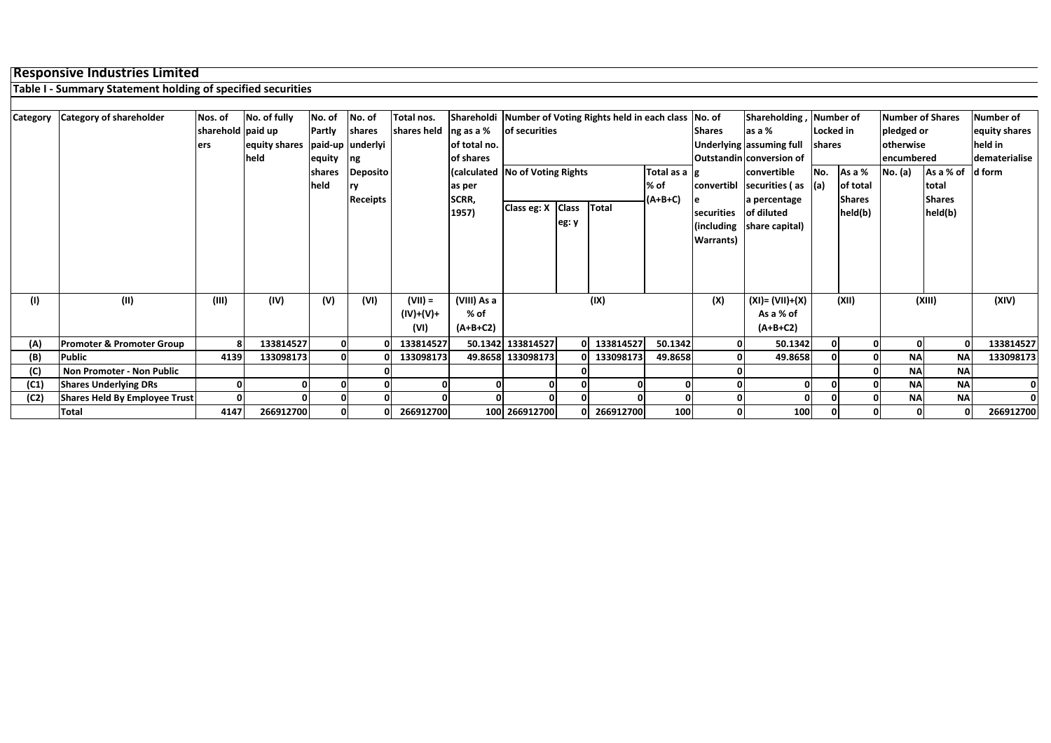## **Responsive Industries Limited**

**Table I - Summary Statement holding of specified securities**

| Category | <b>Category of shareholder</b>       | Nos. of<br>sharehold paid up<br>ers | No. of fully<br>equity shares<br>held | No. of<br>Partly<br>equity<br>shares<br>held | No. of<br>shares<br>paid-up underlyi<br>ng<br>Deposito | Total nos.<br>shares held $\log$ as a % | of total no.<br>of shares<br><b>Calculated No of Voting Rights</b><br>as per | of securities           |       | Shareholdi   Number of Voting Rights held in each class   No. of | Total as a $ g $<br>% of | <b>Shares</b><br>convertibl                   | Shareholding,<br>as a %<br>Underlying assuming full<br><b>Outstandin conversion of</b><br>convertible<br>securities (as<br>a percentage | Locked in<br>shares<br>No.<br>l(a) | Number of<br>As a %<br>of total | <b>Number of Shares</b><br>pledged or<br>otherwise<br>encumbered<br>No. (a) | As a % of<br>total       | <b>Number of</b><br>equity shares<br>held in<br>dematerialise<br>ld form |
|----------|--------------------------------------|-------------------------------------|---------------------------------------|----------------------------------------------|--------------------------------------------------------|-----------------------------------------|------------------------------------------------------------------------------|-------------------------|-------|------------------------------------------------------------------|--------------------------|-----------------------------------------------|-----------------------------------------------------------------------------------------------------------------------------------------|------------------------------------|---------------------------------|-----------------------------------------------------------------------------|--------------------------|--------------------------------------------------------------------------|
|          |                                      |                                     |                                       |                                              | <b>Receipts</b>                                        |                                         | SCRR,<br>1957)                                                               | Class eg: X Class Total | eg: y |                                                                  | (A+B+C)                  | securities<br>(including<br><b>Warrants</b> ) | of diluted<br>share capital)                                                                                                            |                                    | <b>Shares</b><br>held(b)        |                                                                             | <b>Shares</b><br>held(b) |                                                                          |
| (1)      | (II)                                 | (III)                               | (IV)                                  | (V)                                          | (VI)                                                   | $(VII) =$<br>(IV)+(V)+<br>(VI)          | (VIII) As a<br>% of<br>$(A+B+C2)$                                            |                         |       | (IX)                                                             |                          | (X)                                           | $(XI) = (VII)+(X)$<br>As a % of<br>$(A+B+C2)$                                                                                           |                                    | (XII)                           |                                                                             | (XIII)                   | (XIV)                                                                    |
| (A)      | <b>Promoter &amp; Promoter Group</b> |                                     | 133814527                             | 0                                            |                                                        | 133814527                               |                                                                              | 50.1342 133814527       |       | 0 133814527                                                      | 50.1342                  | ΟI                                            | 50.1342                                                                                                                                 |                                    |                                 | $\mathbf{0}$                                                                |                          | 133814527                                                                |
| (B)      | <b>Public</b>                        | 4139                                | 133098173                             |                                              |                                                        | 133098173                               |                                                                              | 49.8658 133098173       |       | 133098173                                                        | 49.8658                  | 0                                             | 49.8658                                                                                                                                 |                                    |                                 | <b>NA</b>                                                                   | <b>NA</b>                | 133098173                                                                |
| (C)      | Non Promoter - Non Public            |                                     |                                       |                                              |                                                        |                                         |                                                                              |                         |       |                                                                  |                          |                                               |                                                                                                                                         |                                    |                                 | <b>NA</b>                                                                   | <b>NA</b>                |                                                                          |
| (C1)     | <b>Shares Underlying DRs</b>         |                                     |                                       |                                              |                                                        |                                         |                                                                              |                         |       |                                                                  |                          |                                               |                                                                                                                                         |                                    |                                 | <b>NA</b>                                                                   | <b>NA</b>                | 0                                                                        |
| (C2)     | <b>Shares Held By Employee Trust</b> |                                     |                                       |                                              |                                                        |                                         |                                                                              |                         |       |                                                                  |                          |                                               |                                                                                                                                         |                                    |                                 | <b>NA</b>                                                                   | <b>NA</b>                |                                                                          |
|          | <b>Total</b>                         | 4147                                | 266912700                             |                                              |                                                        | 266912700                               |                                                                              | 100 266912700           |       | 266912700                                                        | 100                      |                                               | 100                                                                                                                                     |                                    |                                 | $\mathbf{0}$                                                                |                          | 266912700                                                                |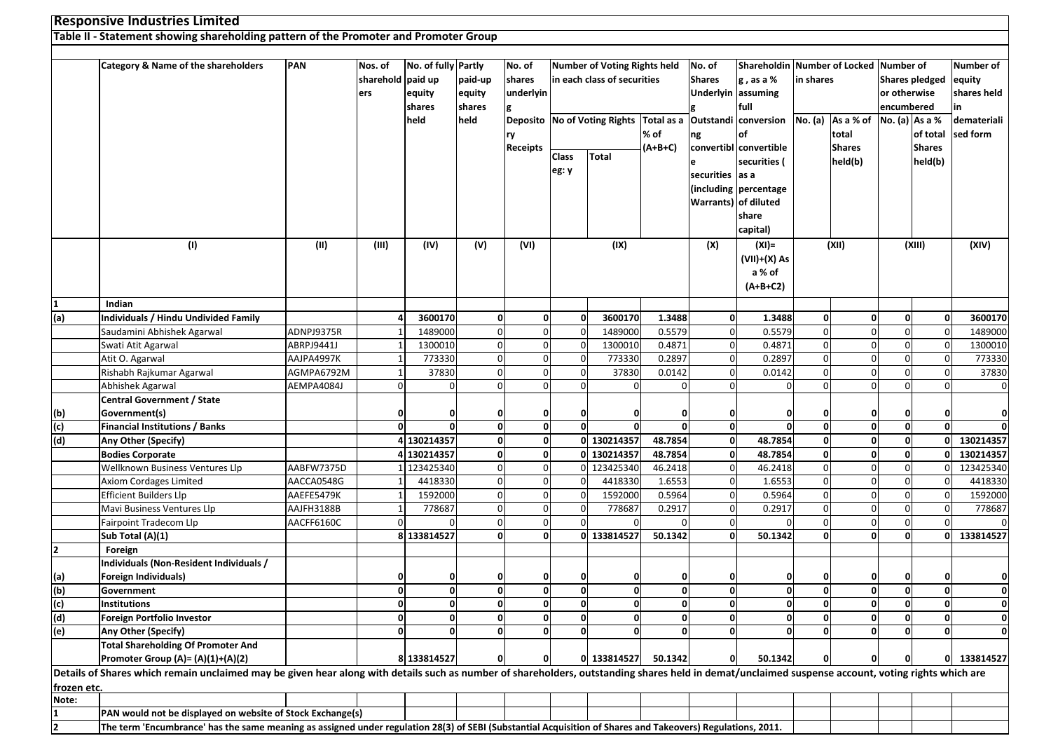## **Responsive Industries Limited**

## **Table II - Statement showing shareholding pattern of the Promoter and Promoter Group**

|                       | Category & Name of the shareholders                                                                                                                                                                | PAN        | Nos. of           | No. of fully Partly |              | No. of      | Number of Voting Rights held |                                                                                      |              | No. of          |                        | Shareholdin Number of Locked Number of |               |                |                       | Number of    |
|-----------------------|----------------------------------------------------------------------------------------------------------------------------------------------------------------------------------------------------|------------|-------------------|---------------------|--------------|-------------|------------------------------|--------------------------------------------------------------------------------------|--------------|-----------------|------------------------|----------------------------------------|---------------|----------------|-----------------------|--------------|
|                       |                                                                                                                                                                                                    |            | sharehold paid up |                     | paid-up      | shares      |                              | in each class of securities                                                          |              | <b>Shares</b>   | $g$ , as a %           | in shares                              |               |                | <b>Shares pledged</b> | equity       |
|                       |                                                                                                                                                                                                    |            | ers               | equity              | equity       | underlyin   |                              |                                                                                      |              |                 | Underlyin assuming     |                                        |               | or otherwise   |                       | shares held  |
|                       |                                                                                                                                                                                                    |            |                   | shares              | shares       | g           |                              |                                                                                      |              |                 | full                   |                                        |               | encumbered     |                       | in.          |
|                       |                                                                                                                                                                                                    |            |                   | held                | held         |             |                              | Deposito  No of Voting Rights  Total as a  Outstandi  conversion  No. (a)  As a % of |              |                 |                        |                                        |               | No. (a) As a % |                       | demateriali  |
|                       |                                                                                                                                                                                                    |            |                   |                     |              | ry          |                              |                                                                                      | % of         | ng              | of                     |                                        | total         |                | of total              | sed form     |
|                       |                                                                                                                                                                                                    |            |                   |                     |              | Receipts    |                              |                                                                                      | $(A+B+C)$    |                 | convertibl convertible |                                        | <b>Shares</b> |                | <b>Shares</b>         |              |
|                       |                                                                                                                                                                                                    |            |                   |                     |              |             | <b>Class</b>                 | <b>Total</b>                                                                         |              |                 | securities (           |                                        | held(b)       |                | held(b)               |              |
|                       |                                                                                                                                                                                                    |            |                   |                     |              |             | eg: y                        |                                                                                      |              | securities as a |                        |                                        |               |                |                       |              |
|                       |                                                                                                                                                                                                    |            |                   |                     |              |             |                              |                                                                                      |              |                 | (including percentage  |                                        |               |                |                       |              |
|                       |                                                                                                                                                                                                    |            |                   |                     |              |             |                              |                                                                                      |              |                 | Warrants) of diluted   |                                        |               |                |                       |              |
|                       |                                                                                                                                                                                                    |            |                   |                     |              |             |                              |                                                                                      |              |                 | share                  |                                        |               |                |                       |              |
|                       |                                                                                                                                                                                                    |            |                   |                     |              |             |                              |                                                                                      |              |                 | capital)               |                                        |               |                |                       |              |
|                       | (1)                                                                                                                                                                                                | (II)       | (III)             | (IV)                | (V)          | (VI)        |                              | (IX)                                                                                 |              | (X)             | $(XI) =$               |                                        | (XII)         |                | (XIII)                | (XIV)        |
|                       |                                                                                                                                                                                                    |            |                   |                     |              |             |                              |                                                                                      |              |                 | $(VII)+(X)$ As         |                                        |               |                |                       |              |
|                       |                                                                                                                                                                                                    |            |                   |                     |              |             |                              |                                                                                      |              |                 | a % of                 |                                        |               |                |                       |              |
|                       |                                                                                                                                                                                                    |            |                   |                     |              |             |                              |                                                                                      |              |                 | $(A+B+C2)$             |                                        |               |                |                       |              |
| 1                     | Indian                                                                                                                                                                                             |            |                   |                     |              |             |                              |                                                                                      |              |                 |                        |                                        |               |                |                       |              |
| (a)                   | <b>Individuals / Hindu Undivided Family</b>                                                                                                                                                        |            |                   | 3600170             | 0            | $\Omega$    | $\mathbf 0$                  | 3600170                                                                              | 1.3488       | 0               | 1.3488                 | $\mathbf{0}$                           | $\mathbf 0$   | $\Omega$       |                       | 3600170      |
|                       | Saudamini Abhishek Agarwal                                                                                                                                                                         | ADNPJ9375R |                   | 1489000             |              | $\Omega$    | $\Omega$                     | 1489000                                                                              | 0.5579       | $\mathbf 0$     | 0.5579                 | $\overline{0}$                         | $\mathbf 0$   |                | $\Omega$              | 1489000      |
|                       | Swati Atit Agarwal                                                                                                                                                                                 | ABRPJ9441J |                   | 1300010             | $\Omega$     | 0           | $\mathbf 0$                  | 1300010                                                                              | 0.4871       | $\mathbf 0$     | 0.4871                 | $\overline{0}$                         | $\pmb{0}$     | $\Omega$       | $\Omega$              | 1300010      |
|                       | Atit O. Agarwal                                                                                                                                                                                    | AAJPA4997K |                   | 773330              |              | $\Omega$    | 0                            | 773330                                                                               | 0.2897       | $\mathbf 0$     | 0.2897                 | $\overline{0}$                         | $\mathbf 0$   |                |                       | 773330       |
|                       | Rishabh Rajkumar Agarwal                                                                                                                                                                           | AGMPA6792M |                   | 37830               |              | $\Omega$    | $\overline{0}$               | 37830                                                                                | 0.0142       | $\overline{0}$  | 0.0142                 | $\overline{0}$                         | $\mathbf 0$   |                | $\Omega$              | 37830        |
|                       | Abhishek Agarwal                                                                                                                                                                                   | AEMPA4084J |                   | $\overline{0}$      |              | $\Omega$    | $\Omega$                     |                                                                                      |              | $\Omega$        |                        | $\overline{0}$                         | $\Omega$      |                |                       | $\mathbf 0$  |
|                       | <b>Central Government / State</b>                                                                                                                                                                  |            |                   |                     |              |             |                              |                                                                                      |              |                 |                        |                                        |               |                |                       |              |
| (b)                   | Government(s)                                                                                                                                                                                      |            | O                 | O                   | 0            | 0           | 0                            |                                                                                      |              | 0               | 0                      | 0                                      | 0             | $\mathbf{0}$   |                       | $\mathbf 0$  |
| (c)                   | <b>Financial Institutions / Banks</b>                                                                                                                                                              |            | $\mathbf{0}$      |                     | 0            | 0           | $\Omega$                     |                                                                                      |              | $\mathbf 0$     | $\mathbf{0}$           | $\mathbf{0}$                           | $\mathbf 0$   | 0              | $\Omega$              | 0            |
| (d)                   | Any Other (Specify)                                                                                                                                                                                |            |                   | 4 130214357         | 0            | 0           |                              | 0 130214357                                                                          | 48.7854      | $\mathbf{0}$    | 48.7854                | $\mathbf{0}$                           | $\mathbf 0$   |                | $\Omega$              | 130214357    |
|                       | <b>Bodies Corporate</b>                                                                                                                                                                            |            |                   | 4 130214357         | 0            | 0           |                              | 0 130214357                                                                          | 48.7854      | 0               | 48.7854                | $\mathbf{0}$                           | $\mathbf 0$   |                |                       | 130214357    |
|                       | Wellknown Business Ventures Llp                                                                                                                                                                    | AABFW7375D |                   | 123425340           |              | $\Omega$    | $\Omega$                     | 123425340                                                                            | 46.2418      | $\mathbf 0$     | 46.2418                | $\mathbf{0}$                           | $\pmb{0}$     |                |                       | 123425340    |
|                       | <b>Axiom Cordages Limited</b>                                                                                                                                                                      | AACCA0548G |                   | 4418330             |              | $\Omega$    | $\Omega$                     | 4418330                                                                              | 1.6553       | $\mathbf 0$     | 1.6553                 | $\overline{0}$                         | $\mathbf 0$   |                | $\Omega$              | 4418330      |
|                       | <b>Efficient Builders Llp</b>                                                                                                                                                                      | AAEFE5479K |                   | 1592000             | $\Omega$     | 0           | 0                            | 1592000                                                                              | 0.5964       | $\mathbf 0$     | 0.5964                 | $\overline{0}$                         | $\mathbf 0$   |                |                       | 1592000      |
|                       | Mavi Business Ventures Llp                                                                                                                                                                         | AAJFH3188B |                   | 778687              |              | $\Omega$    | $\mathbf 0$                  | 778687                                                                               | 0.2917       | $\mathbf 0$     | 0.2917                 | $\mathbf 0$                            | $\mathbf 0$   |                | $\Omega$              | 778687       |
|                       | Fairpoint Tradecom Llp                                                                                                                                                                             | AACFF6160C |                   | $\Omega$            | 0            | 0           | $\Omega$                     | $\Omega$                                                                             | <sup>0</sup> | $\overline{0}$  | $\Omega$               | $\mathbf 0$                            | $\mathbf 0$   |                | $\Omega$              | $\Omega$     |
|                       | Sub Total (A)(1)                                                                                                                                                                                   |            |                   | 8 133814527         | <sub>0</sub> | $\mathbf 0$ |                              | 0 133814527                                                                          | 50.1342      | $\mathbf{0}$    | 50.1342                | $\mathbf{0}$                           | $\mathbf 0$   | $\mathbf{0}$   | 0                     | 133814527    |
| $\overline{2}$        | Foreign                                                                                                                                                                                            |            |                   |                     |              |             |                              |                                                                                      |              |                 |                        |                                        |               |                |                       |              |
|                       | Individuals (Non-Resident Individuals /                                                                                                                                                            |            |                   |                     |              |             |                              |                                                                                      |              |                 |                        |                                        |               |                |                       |              |
| (a)                   | Foreign Individuals)                                                                                                                                                                               |            | O                 | 0                   |              | 0           | 0                            |                                                                                      |              |                 | $\mathbf 0$            | 0                                      | 0             | 0              |                       | 0            |
| (b)                   | Government                                                                                                                                                                                         |            | $\Omega$          | 0                   | 0            | 0           | $\mathbf 0$                  | $\Omega$                                                                             | 0            | $\mathbf 0$     | $\mathbf{0}$           | $\mathbf{0}$                           | $\pmb{0}$     |                | 0                     | $\mathbf 0$  |
| (c)                   | Institutions                                                                                                                                                                                       |            |                   | 0                   |              | 0           | 0                            | $\mathbf 0$                                                                          | 0            | $\mathbf{0}$    | $\mathbf 0$            | 0                                      | $\mathbf 0$   |                | 0                     | $\mathbf{0}$ |
| (d)                   | Foreign Portfolio Investor                                                                                                                                                                         |            |                   |                     |              |             |                              |                                                                                      |              |                 |                        |                                        |               |                |                       |              |
| (e)                   | Any Other (Specify)                                                                                                                                                                                |            |                   | $\mathbf{0}$        | O            | 0           | 0                            | $\Omega$                                                                             | U            | $\Omega$        | $\mathbf{0}$           | $\mathbf{0}$                           | $\Omega$      |                | 0                     | $\mathbf{0}$ |
|                       | <b>Total Shareholding Of Promoter And</b>                                                                                                                                                          |            |                   |                     |              |             |                              |                                                                                      |              |                 |                        |                                        |               |                |                       |              |
|                       | Promoter Group (A)= (A)(1)+(A)(2)                                                                                                                                                                  |            |                   | 8 133814527         | 0            |             |                              | 0 133814527                                                                          | 50.1342      | 0               | 50.1342                | 0                                      | 0             |                |                       | 0 133814527  |
|                       | Details of Shares which remain unclaimed may be given hear along with details such as number of shareholders, outstanding shares held in demat/unclaimed suspense account, voting rights which are |            |                   |                     |              |             |                              |                                                                                      |              |                 |                        |                                        |               |                |                       |              |
| frozen etc.           |                                                                                                                                                                                                    |            |                   |                     |              |             |                              |                                                                                      |              |                 |                        |                                        |               |                |                       |              |
| Note:<br>$\mathbf{1}$ |                                                                                                                                                                                                    |            |                   |                     |              |             |                              |                                                                                      |              |                 |                        |                                        |               |                |                       |              |
|                       | PAN would not be displayed on website of Stock Exchange(s)                                                                                                                                         |            |                   |                     |              |             |                              |                                                                                      |              |                 |                        |                                        |               |                |                       |              |
| $\overline{2}$        | The term 'Encumbrance' has the same meaning as assigned under regulation 28(3) of SEBI (Substantial Acquisition of Shares and Takeovers) Regulations, 2011.                                        |            |                   |                     |              |             |                              |                                                                                      |              |                 |                        |                                        |               |                |                       |              |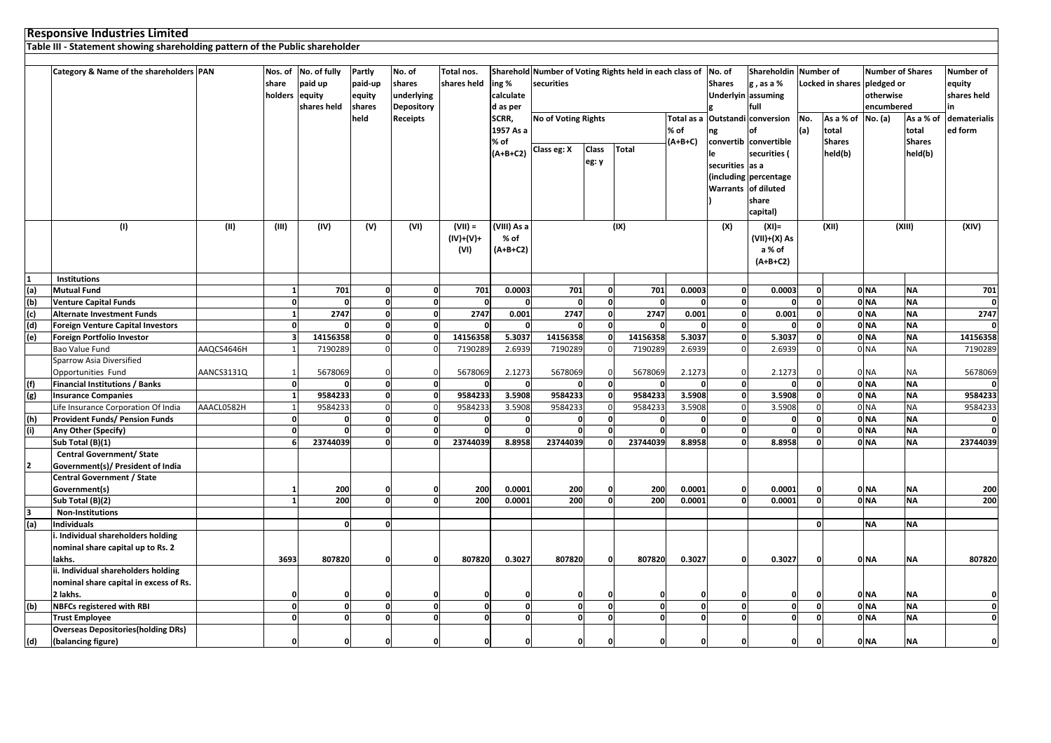|     | <b>Responsive Industries Limited</b>                                         |            |                         |                                                |                                       |                                                     |                              |                                |                                                                              |              |              |              |                 |                                                        |              |                                                                               |                 |                         |                                    |
|-----|------------------------------------------------------------------------------|------------|-------------------------|------------------------------------------------|---------------------------------------|-----------------------------------------------------|------------------------------|--------------------------------|------------------------------------------------------------------------------|--------------|--------------|--------------|-----------------|--------------------------------------------------------|--------------|-------------------------------------------------------------------------------|-----------------|-------------------------|------------------------------------|
|     | Table III - Statement showing shareholding pattern of the Public shareholder |            |                         |                                                |                                       |                                                     |                              |                                |                                                                              |              |              |              |                 |                                                        |              |                                                                               |                 |                         |                                    |
|     |                                                                              |            |                         |                                                |                                       |                                                     |                              |                                |                                                                              |              |              |              |                 |                                                        |              |                                                                               |                 |                         |                                    |
|     | Category & Name of the shareholders PAN                                      |            | share<br>holders equity | Nos. of No. of fully<br>paid up<br>shares held | Partly<br>paid-up<br>equity<br>shares | No. of<br>shares<br>underlying<br><b>Depository</b> | Total nos.<br>shares held    | ing %<br>calculate<br>d as per | Sharehold Number of Voting Rights held in each class of No. of<br>securities |              |              |              | <b>Shares</b>   | Shareholdin<br>g, as a %<br>Underlyin assuming<br>full |              | <b>Number of</b><br>Locked in shares<br>pledged or<br>otherwise<br>encumbered |                 | <b>Number of Shares</b> | Number of<br>equity<br>shares held |
|     |                                                                              |            |                         |                                                | held                                  | <b>Receipts</b>                                     |                              | SCRR,                          | <b>No of Voting Rights</b>                                                   |              |              | Total as a   |                 | <b>Outstandi conversion</b>                            | No.          | As a % of                                                                     | No. (a)         | As a % of               | dematerialis                       |
|     |                                                                              |            |                         |                                                |                                       |                                                     |                              | 1957 As a                      |                                                                              |              |              | % of         | ng              | of                                                     | (a)          | total                                                                         |                 | total                   | ed form                            |
|     |                                                                              |            |                         |                                                |                                       |                                                     |                              | % of                           |                                                                              |              |              | (A+B+C)      |                 | convertib convertible                                  |              | <b>Shares</b>                                                                 |                 | <b>Shares</b>           |                                    |
|     |                                                                              |            |                         |                                                |                                       |                                                     |                              | $(A+B+C2)$                     | Class eg: X                                                                  | <b>Class</b> | Total        |              | le              | securities (                                           |              | held(b)                                                                       |                 | held(b)                 |                                    |
|     |                                                                              |            |                         |                                                |                                       |                                                     |                              |                                |                                                                              | eg: y        |              |              | securities as a |                                                        |              |                                                                               |                 |                         |                                    |
|     |                                                                              |            |                         |                                                |                                       |                                                     |                              |                                |                                                                              |              |              |              |                 | (including percentage                                  |              |                                                                               |                 |                         |                                    |
|     |                                                                              |            |                         |                                                |                                       |                                                     |                              |                                |                                                                              |              |              |              |                 | Warrants of diluted                                    |              |                                                                               |                 |                         |                                    |
|     |                                                                              |            |                         |                                                |                                       |                                                     |                              |                                |                                                                              |              |              |              |                 | share                                                  |              |                                                                               |                 |                         |                                    |
|     |                                                                              |            |                         |                                                |                                       |                                                     |                              |                                |                                                                              |              |              |              |                 | capital)                                               |              |                                                                               |                 |                         |                                    |
|     | (1)                                                                          | (II)       | (III)                   | (IV)                                           | (V)                                   | (VI)                                                | $(VII) =$                    | (VIII) As a                    |                                                                              |              | (IX)         |              | (X)             | $(XI) =$                                               |              | (XII)                                                                         |                 | (XIII)                  | (XIV)                              |
|     |                                                                              |            |                         |                                                |                                       |                                                     | $(IV)+(V)+$                  | % of                           |                                                                              |              |              |              |                 | (VII)+(X) As                                           |              |                                                                               |                 |                         |                                    |
|     |                                                                              |            |                         |                                                |                                       |                                                     | (VI)                         | $(A+B+C2)$                     |                                                                              |              |              |              |                 | a % of                                                 |              |                                                                               |                 |                         |                                    |
|     |                                                                              |            |                         |                                                |                                       |                                                     |                              |                                |                                                                              |              |              |              |                 | $(A+B+C2)$                                             |              |                                                                               |                 |                         |                                    |
|     | <b>Institutions</b>                                                          |            |                         |                                                |                                       |                                                     |                              |                                |                                                                              |              |              |              |                 |                                                        |              |                                                                               |                 |                         |                                    |
| (a) | <b>Mutual Fund</b>                                                           |            | $\mathbf{1}$            | 701                                            | $\Omega$                              | $\Omega$                                            | 701                          | 0.0003                         | 701                                                                          | $\mathbf{0}$ | 701          | 0.0003       | $\mathbf 0$     | 0.0003                                                 | n            |                                                                               | 0 <sub>NA</sub> | <b>NA</b>               | 701                                |
| (b) | <b>Venture Capital Funds</b>                                                 |            | $\mathbf 0$             | $\Omega$                                       | $\Omega$                              | $\Omega$                                            |                              | $\Omega$                       | $\mathbf{0}$                                                                 | o١           | $\Omega$     | $\Omega$     | $\Omega$        | $\Omega$                                               | n            |                                                                               | 0 <sub>NA</sub> | <b>NA</b>               |                                    |
| (c) | <b>Alternate Investment Funds</b>                                            |            | $\mathbf{1}$            | 2747                                           | $\mathbf{0}$                          |                                                     | 2747<br>$\mathbf{0}$         | 0.001                          | 2747                                                                         | 0            | 2747         | 0.001        | $\mathbf{0}$    | 0.001                                                  | $\Omega$     |                                                                               | 0 <sub>NA</sub> | <b>NA</b>               | 2747                               |
| (d) | <b>Foreign Venture Capital Investors</b>                                     |            | $\mathbf 0$             | $\Omega$                                       | $\Omega$                              | $\mathbf{0}$                                        |                              | $\Omega$                       | $\Omega$                                                                     | $\Omega$     | $\Omega$     | $\Omega$     | $\mathbf{0}$    | $\Omega$                                               |              |                                                                               | 0 <sub>NA</sub> | <b>NA</b>               |                                    |
| (e) | Foreign Portfolio Investor                                                   |            | $\overline{\mathbf{3}}$ | 14156358                                       | O                                     | O                                                   | 14156358                     | 5.3037                         | 14156358                                                                     |              | 14156358     | 5.3037       | $\mathbf 0$     | 5.3037                                                 |              |                                                                               | 0 <sub>NA</sub> | <b>NA</b>               | 14156358                           |
|     | Bao Value Fund                                                               | AAQCS4646H |                         | 7190289                                        |                                       | $\Omega$                                            | 7190289                      | 2.6939                         | 7190289                                                                      |              | 7190289      | 2.6939       |                 | 2.6939                                                 |              |                                                                               | 0 <sub>NA</sub> | <b>NA</b>               | 7190289                            |
|     | <b>Sparrow Asia Diversified</b>                                              |            |                         |                                                |                                       |                                                     |                              |                                |                                                                              |              |              |              |                 |                                                        |              |                                                                               |                 |                         |                                    |
|     | Opportunities Fund                                                           | AANCS3131Q | $\mathbf{1}$            | 5678069                                        | $\Omega$                              |                                                     | 5678069                      | 2.1273                         | 5678069                                                                      |              | 5678069      | 2.1273       | $\mathbf 0$     | 2.1273                                                 |              |                                                                               | 0 <sub>NA</sub> | <b>NA</b>               | 5678069                            |
| (f) | Financial Institutions / Banks                                               |            | $\mathbf 0$             | $\Omega$                                       | $\mathbf{0}$                          | $\mathbf{0}$                                        | n                            | $\mathbf{0}$                   | $\Omega$                                                                     | $\mathbf{0}$ | $\Omega$     | $\Omega$     | $\mathbf{0}$    | 0                                                      | $\Omega$     |                                                                               | 0 <sub>NA</sub> | <b>NA</b>               |                                    |
| (g) | <b>Insurance Companies</b>                                                   |            | $\mathbf{1}$            | 9584233                                        | $\mathbf{0}$                          | $\Omega$                                            | 9584233                      | 3.5908                         | 9584233                                                                      | $\mathbf{0}$ | 9584233      | 3.5908       | $\mathbf 0$     | 3.5908                                                 | n            |                                                                               | 0 <sub>NA</sub> | <b>NA</b>               | 9584233                            |
|     | Life Insurance Corporation Of India                                          | AAACL0582H | $\overline{1}$          | 9584233                                        | $\Omega$                              | $\Omega$                                            | 9584233                      | 3.5908                         | 9584233                                                                      |              | 9584233      | 3.5908       | $\Omega$        | 3.5908                                                 |              |                                                                               | 0 <sub>NA</sub> | <b>NA</b>               | 9584233                            |
| (h) | <b>Provident Funds/ Pension Funds</b>                                        |            | $\mathbf 0$             | $\Omega$                                       | $\Omega$                              | $\Omega$                                            | $\Omega$                     | $\Omega$                       | $\Omega$                                                                     | $\Omega$     |              |              | $\Omega$        | $\Omega$                                               |              |                                                                               | 0 <sub>NA</sub> | <b>NA</b>               | 0                                  |
| (i) | Any Other (Specify)                                                          |            | $\mathbf{o}$            | $\Omega$                                       | $\mathbf{0}$                          | $\Omega$                                            | $\Omega$                     | $\mathbf{0}$                   | $\Omega$                                                                     |              |              | $\mathbf{a}$ | $\mathbf 0$     | $\Omega$                                               |              |                                                                               | 0 <sub>NA</sub> | <b>NA</b>               | <sub>0</sub>                       |
|     | Sub Total (B)(1)                                                             |            | 6                       | 23744039                                       | $\mathbf{0}$                          | $\Omega$                                            | 23744039                     | 8.8958                         | 23744039                                                                     |              | 23744039     | 8.8958       | $\mathbf 0$     | 8.8958                                                 | Û            |                                                                               | 0 <sub>NA</sub> | <b>NA</b>               | 23744039                           |
|     | <b>Central Government/ State</b>                                             |            |                         |                                                |                                       |                                                     |                              |                                |                                                                              |              |              |              |                 |                                                        |              |                                                                               |                 |                         |                                    |
|     | Government(s)/ President of India                                            |            |                         |                                                |                                       |                                                     |                              |                                |                                                                              |              |              |              |                 |                                                        |              |                                                                               |                 |                         |                                    |
|     | <b>Central Government / State</b>                                            |            |                         |                                                |                                       |                                                     |                              |                                |                                                                              |              |              |              |                 |                                                        |              |                                                                               |                 |                         |                                    |
|     | Government(s)                                                                |            | 1                       | 200                                            |                                       | <sup>0</sup>                                        | 200                          | 0.0001                         | 200                                                                          |              | 200          | 0.0001       | $\Omega$        | 0.0001                                                 |              |                                                                               | 0 <sub>NA</sub> | <b>NA</b>               | 200                                |
|     | Sub Total (B)(2)                                                             |            |                         | 200                                            | $\mathbf{0}$                          |                                                     | 200                          | 0.0001                         | 200                                                                          | O            | 200          | 0.0001       | $\Omega$        | 0.0001                                                 |              |                                                                               | 0 <sub>NA</sub> | <b>NA</b>               | 200                                |
| (a) | <b>Non-Institutions</b><br><b>Individuals</b>                                |            |                         | $\mathbf{0}$                                   | $\Omega$                              |                                                     |                              |                                |                                                                              |              |              |              |                 |                                                        | $\Omega$     |                                                                               | <b>NA</b>       | <b>NA</b>               |                                    |
|     | . Individual shareholders holding                                            |            |                         |                                                |                                       |                                                     |                              |                                |                                                                              |              |              |              |                 |                                                        |              |                                                                               |                 |                         |                                    |
|     | nominal share capital up to Rs. 2                                            |            |                         |                                                |                                       |                                                     |                              |                                |                                                                              |              |              |              |                 |                                                        |              |                                                                               |                 |                         |                                    |
|     | lakhs.                                                                       |            | 3693                    | 807820                                         | O                                     |                                                     | 807820                       | 0.3027                         | 807820                                                                       |              | 807820       | 0.3027       | $\Omega$        | 0.3027                                                 | $\Omega$     |                                                                               | 0 <sub>NA</sub> | <b>NA</b>               | 807820                             |
|     | ii. Individual shareholders holding                                          |            |                         |                                                |                                       |                                                     |                              |                                |                                                                              |              |              |              |                 |                                                        |              |                                                                               |                 |                         |                                    |
|     | nominal share capital in excess of Rs.                                       |            |                         |                                                |                                       |                                                     |                              |                                |                                                                              |              |              |              |                 |                                                        |              |                                                                               |                 |                         |                                    |
|     | 2 lakhs.                                                                     |            | $\mathbf 0$             | 0                                              | O                                     |                                                     |                              |                                | 0                                                                            |              |              |              |                 |                                                        |              |                                                                               | 0 <sub>NA</sub> | <b>NA</b>               |                                    |
| (b) | <b>NBFCs registered with RBI</b>                                             |            | $\mathbf 0$             | $\mathbf{0}$                                   | $\mathbf{0}$                          |                                                     | $\mathbf{0}$<br>$\mathbf{o}$ | $\mathbf{0}$                   | $\mathbf{0}$                                                                 | 0            | $\mathbf{0}$ | 0            | $\Omega$        | $\mathbf{0}$                                           | $\mathbf{0}$ |                                                                               | 0 <sub>NA</sub> | <b>NA</b>               | $\mathbf{0}$                       |
|     | <b>Trust Employee</b>                                                        |            | $\bf{0}$                | $\mathbf{0}$                                   | $\mathbf{0}$                          | 0                                                   | $\Omega$                     | 0                              | $\mathbf{0}$                                                                 | $\mathbf{0}$ | 0            | $\mathbf 0$  | $\mathbf 0$     | 0                                                      | $\mathbf{0}$ |                                                                               | 0 <sub>NA</sub> | <b>NA</b>               | $\mathbf{0}$                       |
|     | <b>Overseas Depositories (holding DRs)</b>                                   |            |                         |                                                |                                       |                                                     |                              |                                |                                                                              |              |              |              |                 |                                                        |              |                                                                               |                 |                         |                                    |
| (d) | (balancing figure)                                                           |            | $\Omega$                | $\mathbf{0}$                                   | $\Omega$                              | O                                                   | $\Omega$                     | $\Omega$                       | $\mathbf{0}$                                                                 |              |              | $\Omega$     | $\Omega$        | $\Omega$                                               | $\Omega$     |                                                                               | 0 <sub>NA</sub> | <b>NA</b>               | 0                                  |

<u>) (and the set of the set of the set of the set of the set of the set of the set of the set of the set of the </u>

**(d)**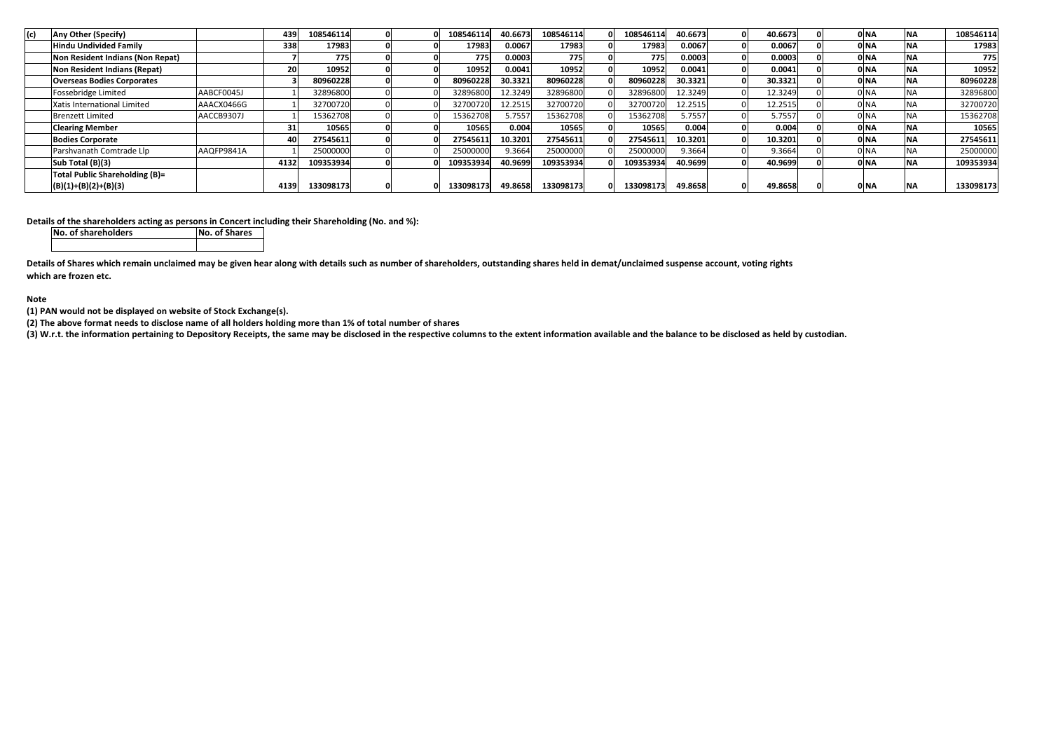| (c) | Any Other (Specify)               |            | 439  | 108546114 |  | 108546114 | 40.6673 | 108546114 | 08546114  | 40.6673 | 40.6673 |  | 0 <sub>N</sub>   | <b>NA</b>  | 108546114 |
|-----|-----------------------------------|------------|------|-----------|--|-----------|---------|-----------|-----------|---------|---------|--|------------------|------------|-----------|
|     | <b>Hindu Undivided Family</b>     |            | 338  | 17983     |  | 17983     | 0.0067  | 17983     | 17983     | 0.0067  | 0.0067  |  | 0 <sub>NA</sub>  | <b>NA</b>  | 17983     |
|     | Non Resident Indians (Non Repat)  |            |      | 775       |  | 775       | 0.0003  | 775       | 775       | 0.0003  | 0.0003  |  | 0 <sub>N</sub> A | <b>INA</b> | 775       |
|     | Non Resident Indians (Repat)      |            | 20   | 10952     |  | 10952     | 0.0041  | 10952     | 10952     | 0.0041  | 0.0041  |  | 0 <sub>NA</sub>  | <b>NA</b>  | 10952     |
|     | <b>Overseas Bodies Corporates</b> |            |      | 80960228  |  | 80960228  | 30.3321 | 80960228  | 80960228  | 30.3321 | 30.3321 |  | 0 <sub>NA</sub>  | <b>NA</b>  | 80960228  |
|     | Fossebridge Limited               | AABCF0045J |      | 32896800  |  | 32896800  | 12.3249 | 32896800  | 32896800  | 12.3249 | 12.3249 |  | 0 NA             | <b>NA</b>  | 32896800  |
|     | Xatis International Limited       | AAACX0466G |      | 32700720  |  | 32700720  | 12.2515 | 32700720  | 32700720  | 12.2515 | 12.2515 |  | 0 NA             | <b>NA</b>  | 32700720  |
|     | <b>Brenzett Limited</b>           | AACCB9307J |      | 15362708  |  | 15362708  | 5.7557  | 15362708  | 15362708  | 5.7557  | 5.7557  |  | 0 <sub>NA</sub>  | NA         | 15362708  |
|     | <b>Clearing Member</b>            |            | 31   | 10565     |  | 10565     | 0.004   | 10565     | 10565     | 0.004   | 0.004   |  | 0 <sub>NA</sub>  | <b>NA</b>  | 10565     |
|     | <b>Bodies Corporate</b>           |            | 401  | 27545611  |  | 27545611  | 10.3201 | 27545611  | 27545611  | 10.3201 | 10.3201 |  | 0 <sub>N</sub> A | <b>NA</b>  | 27545611  |
|     | Parshvanath Comtrade Llp          | AAQFP9841A |      | 25000000  |  | 25000000  | 9.3664  | 25000000  | 25000000  | 9.3664  | 9.3664  |  | 0 NA             | <b>NA</b>  | 25000000  |
|     | Sub Total (B)(3)                  |            | 4132 | 109353934 |  | 109353934 | 40.9699 | 109353934 | 109353934 | 40.9699 | 40.9699 |  | 0 NA             | <b>NA</b>  | 109353934 |
|     | Total Public Shareholding (B)=    |            |      |           |  |           |         |           |           |         |         |  |                  |            |           |
|     | $(B)(1)+(B)(2)+(B)(3)$            |            | 4139 | 133098173 |  | 133098173 | 49.8658 | 133098173 | 133098173 | 49.8658 | 49.8658 |  | 0 NA             | <b>INA</b> | 133098173 |

**Details of the shareholders acting as persons in Concert including their Shareholding (No. and %):**

**No. of shareholdersNo. of Shares**

**Details of Shares which remain unclaimed may be given hear along with details such as number of shareholders, outstanding shares held in demat/unclaimed suspense account, voting rights which are frozen etc.**

**Note** 

**(1) PAN would not be displayed on website of Stock Exchange(s).** 

**(2) The above format needs to disclose name of all holders holding more than 1% of total number of shares**

**(3) W.r.t. the information pertaining to Depository Receipts, the same may be disclosed in the respective columns to the extent information available and the balance to be disclosed as held by custodian.**